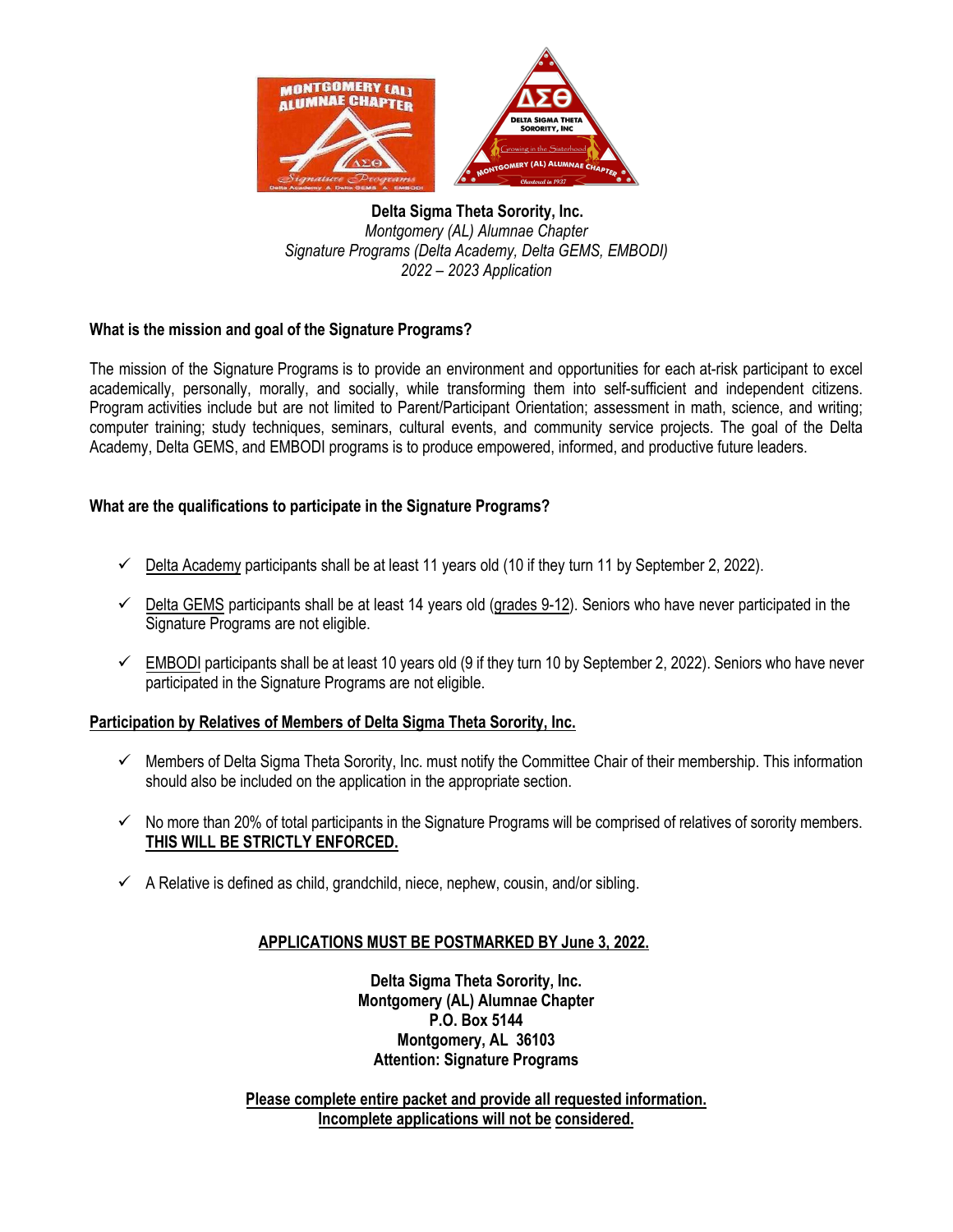

**Delta Sigma Theta Sorority, Inc.**  *Montgomery (AL) Alumnae Chapter Signature Programs (Delta Academy, Delta GEMS, EMBODI) 2022 – 2023 Application*

### **What is the mission and goal of the Signature Programs?**

The mission of the Signature Programs is to provide an environment and opportunities for each at-risk participant to excel academically, personally, morally, and socially, while transforming them into self-sufficient and independent citizens. Program activities include but are not limited to Parent/Participant Orientation; assessment in math, science, and writing; computer training; study techniques, seminars, cultural events, and community service projects. The goal of the Delta Academy, Delta GEMS, and EMBODI programs is to produce empowered, informed, and productive future leaders.

### **What are the qualifications to participate in the Signature Programs?**

- $\checkmark$  Delta Academy participants shall be at least 11 years old (10 if they turn 11 by September 2, 2022).
- $\checkmark$  Delta GEMS participants shall be at least 14 years old (grades 9-12). Seniors who have never participated in the Signature Programs are not eligible.
- $\checkmark$  EMBODI participants shall be at least 10 years old (9 if they turn 10 by September 2, 2022). Seniors who have never participated in the Signature Programs are not eligible.

### **Participation by Relatives of Members of Delta Sigma Theta Sorority, Inc.**

- $\checkmark$  Members of Delta Sigma Theta Sorority, Inc. must notify the Committee Chair of their membership. This information should also be included on the application in the appropriate section.
- $\checkmark$  No more than 20% of total participants in the Signature Programs will be comprised of relatives of sorority members. **THIS WILL BE STRICTLY ENFORCED.**
- $\checkmark$  A Relative is defined as child, grandchild, niece, nephew, cousin, and/or sibling.

## **APPLICATIONS MUST BE POSTMARKED BY June 3, 2022.**

**Delta Sigma Theta Sorority, Inc. Montgomery (AL) Alumnae Chapter P.O. Box 5144 Montgomery, AL 36103 Attention: Signature Programs** 

**Please complete entire packet and provide all requested information. Incomplete applications will not be considered.**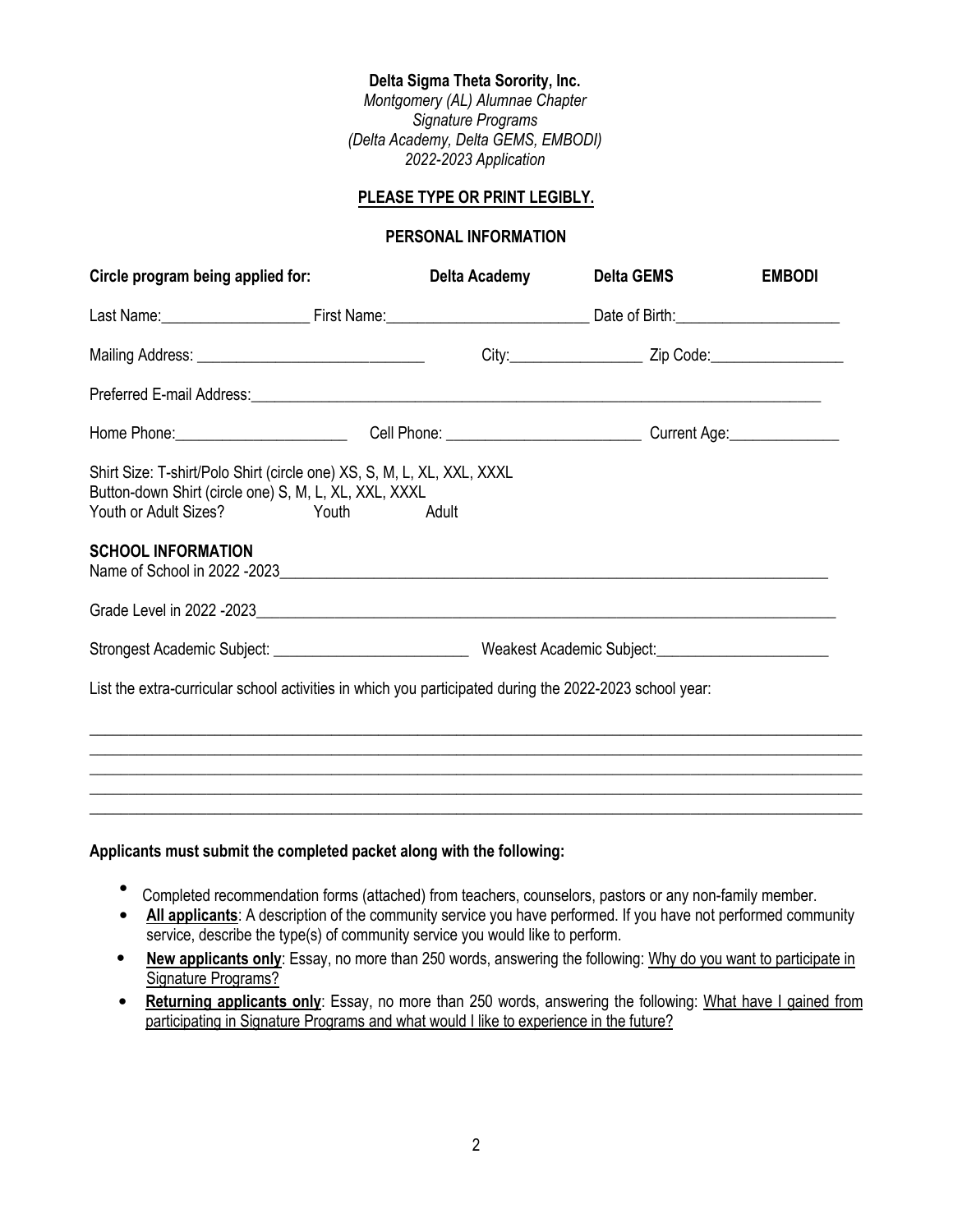#### **Delta Sigma Theta Sorority, Inc.**

*Montgomery (AL) Alumnae Chapter Signature Programs (Delta Academy, Delta GEMS, EMBODI) 2022-2023 Application*

#### **PLEASE TYPE OR PRINT LEGIBLY.**

#### **PERSONAL INFORMATION**

| Circle program being applied for:                                                                                                                                                                                               | Delta Academy | <b>Delta GEMS</b> | <b>EMBODI</b> |  |
|---------------------------------------------------------------------------------------------------------------------------------------------------------------------------------------------------------------------------------|---------------|-------------------|---------------|--|
|                                                                                                                                                                                                                                 |               |                   |               |  |
|                                                                                                                                                                                                                                 |               |                   |               |  |
|                                                                                                                                                                                                                                 |               |                   |               |  |
| Home Phone: Cell Phone: Call Phone: Communication Current Age: Current Age: Current Age:                                                                                                                                        |               |                   |               |  |
| Shirt Size: T-shirt/Polo Shirt (circle one) XS, S, M, L, XL, XXL, XXXL<br>Button-down Shirt (circle one) S, M, L, XL, XXL, XXXL<br>Youth or Adult Sizes?<br>Youth<br><b>SCHOOL INFORMATION</b><br>Name of School in 2022 -2023. | Adult         |                   |               |  |
|                                                                                                                                                                                                                                 |               |                   |               |  |
| List the extra-curricular school activities in which you participated during the 2022-2023 school year:                                                                                                                         |               |                   |               |  |
|                                                                                                                                                                                                                                 |               |                   |               |  |
|                                                                                                                                                                                                                                 |               |                   |               |  |
|                                                                                                                                                                                                                                 |               |                   |               |  |
|                                                                                                                                                                                                                                 |               |                   |               |  |

#### **Applicants must submit the completed packet along with the following:**

- Completed recommendation forms (attached) from teachers, counselors, pastors or any non-family member.
- All applicants: A description of the community service you have performed. If you have not performed community service, describe the type(s) of community service you would like to perform.
- **New applicants only**: Essay, no more than 250 words, answering the following: Why do you want to participate in Signature Programs?
- **Returning applicants only**: Essay, no more than 250 words, answering the following: What have I gained from participating in Signature Programs and what would I like to experience in the future?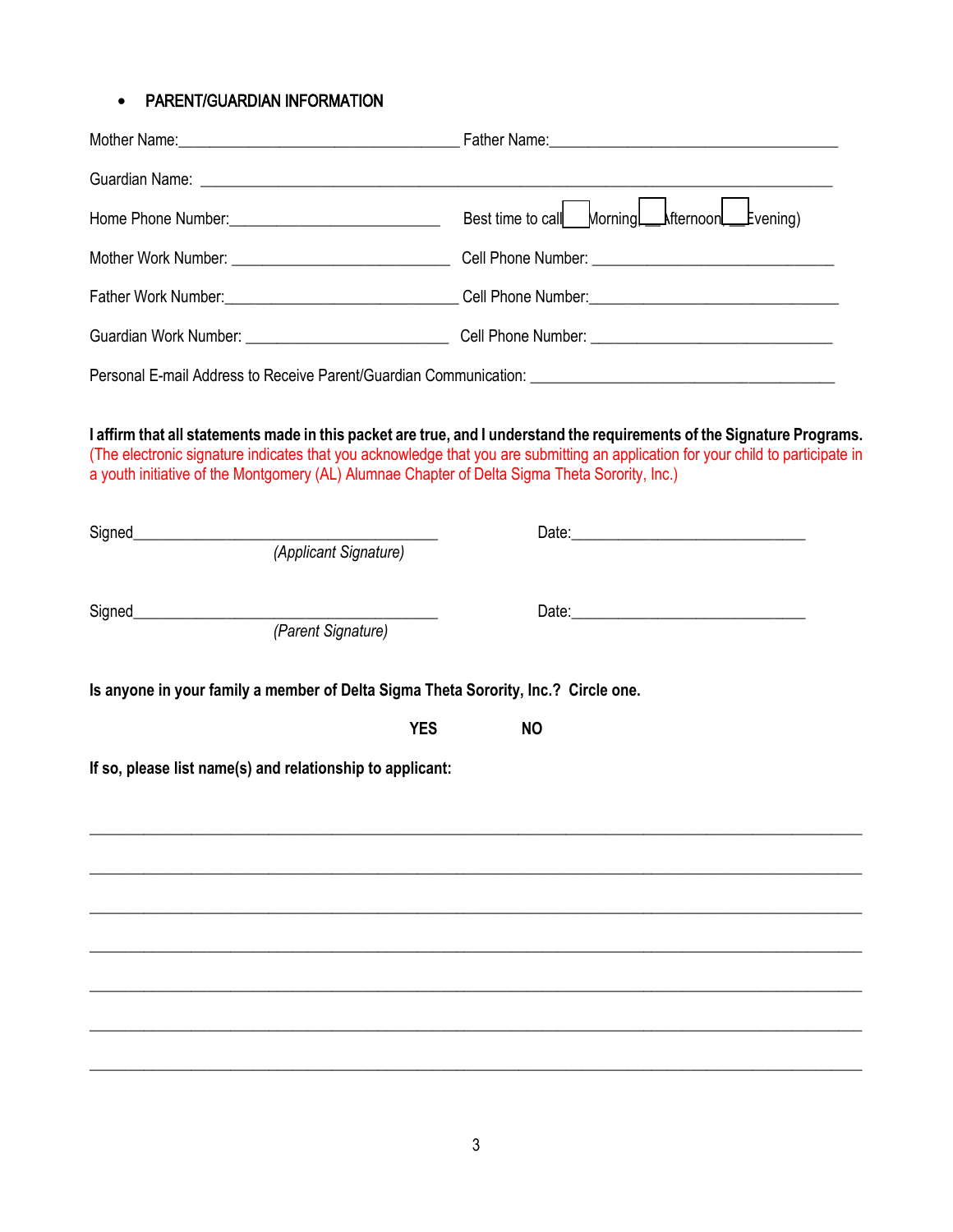# • PARENT/GUARDIAN INFORMATION

|                                                                                                                         | Best time to call___Morningl____Mternoonl____Evening)                                                                                                                                                                                                       |  |
|-------------------------------------------------------------------------------------------------------------------------|-------------------------------------------------------------------------------------------------------------------------------------------------------------------------------------------------------------------------------------------------------------|--|
|                                                                                                                         |                                                                                                                                                                                                                                                             |  |
|                                                                                                                         |                                                                                                                                                                                                                                                             |  |
|                                                                                                                         |                                                                                                                                                                                                                                                             |  |
|                                                                                                                         |                                                                                                                                                                                                                                                             |  |
| a youth initiative of the Montgomery (AL) Alumnae Chapter of Delta Sigma Theta Sorority, Inc.)<br>(Applicant Signature) | I affirm that all statements made in this packet are true, and I understand the requirements of the Signature Programs.<br>(The electronic signature indicates that you acknowledge that you are submitting an application for your child to participate in |  |
|                                                                                                                         |                                                                                                                                                                                                                                                             |  |
| (Parent Signature)                                                                                                      |                                                                                                                                                                                                                                                             |  |
| Is anyone in your family a member of Delta Sigma Theta Sorority, Inc.? Circle one.                                      |                                                                                                                                                                                                                                                             |  |
| <b>YES</b>                                                                                                              | <b>NO</b>                                                                                                                                                                                                                                                   |  |
| If so, please list name(s) and relationship to applicant:                                                               |                                                                                                                                                                                                                                                             |  |
|                                                                                                                         |                                                                                                                                                                                                                                                             |  |
|                                                                                                                         |                                                                                                                                                                                                                                                             |  |
|                                                                                                                         |                                                                                                                                                                                                                                                             |  |
|                                                                                                                         |                                                                                                                                                                                                                                                             |  |
|                                                                                                                         |                                                                                                                                                                                                                                                             |  |
|                                                                                                                         |                                                                                                                                                                                                                                                             |  |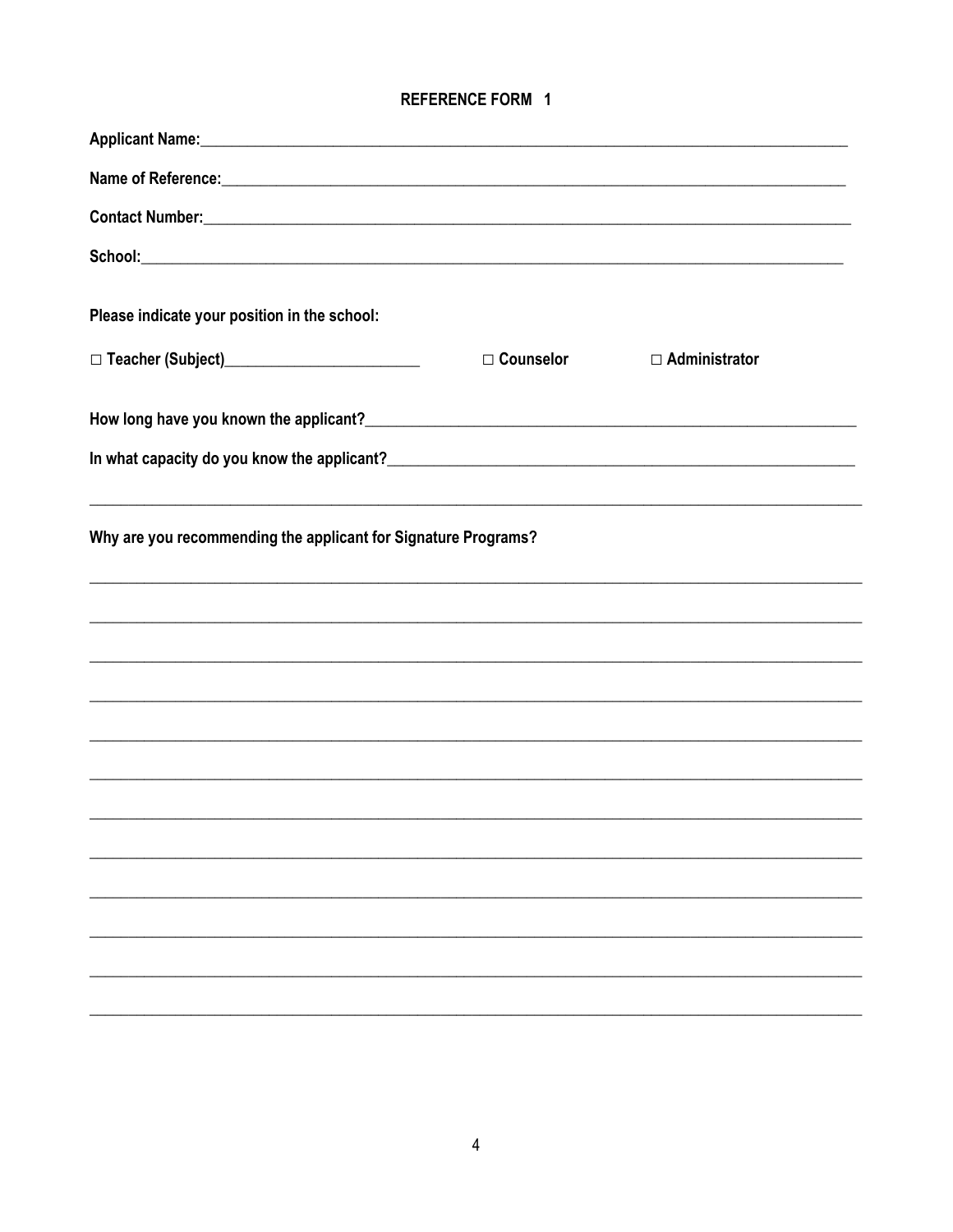# **REFERENCE FORM 1**

| Name of Reference: <u>contract and a series of the series of the series of the series of the series of the series of the series of the series of the series of the series of the series of the series of the series of the serie</u> |             |                      |  |
|--------------------------------------------------------------------------------------------------------------------------------------------------------------------------------------------------------------------------------------|-------------|----------------------|--|
| Contact Number: National Contract Number 2014 19:00 19:00 19:00 19:00 19:00 19:00 19:00 19:00 19:00 19:00 19:0                                                                                                                       |             |                      |  |
|                                                                                                                                                                                                                                      |             |                      |  |
| Please indicate your position in the school:                                                                                                                                                                                         |             |                      |  |
|                                                                                                                                                                                                                                      | □ Counselor | $\Box$ Administrator |  |
|                                                                                                                                                                                                                                      |             |                      |  |
|                                                                                                                                                                                                                                      |             |                      |  |
| Why are you recommending the applicant for Signature Programs?<br>,我们也不能在这里的时候,我们也不能在这里的时候,我们也不能在这里的时候,我们也不能会不能在这里的时候,我们也不能会不能会不能会不能会不能会不能会不能会不能会不                                                                                   |             |                      |  |
|                                                                                                                                                                                                                                      |             |                      |  |
| ,我们也不能在这里的人,我们也不能在这里的人,我们也不能在这里的人,我们也不能在这里的人,我们也不能在这里的人,我们也不能在这里的人,我们也不能在这里的人,我们也                                                                                                                                                    |             |                      |  |
|                                                                                                                                                                                                                                      |             |                      |  |
| ,我们也不能在这里的人,我们也不能在这里的人,我们也不能在这里的人,我们也不能在这里的人,我们也不能在这里的人,我们也不能在这里的人,我们也不能在这里的人,我们也                                                                                                                                                    |             |                      |  |
|                                                                                                                                                                                                                                      |             |                      |  |
|                                                                                                                                                                                                                                      |             |                      |  |
|                                                                                                                                                                                                                                      |             |                      |  |
|                                                                                                                                                                                                                                      |             |                      |  |
|                                                                                                                                                                                                                                      |             |                      |  |
|                                                                                                                                                                                                                                      |             |                      |  |
|                                                                                                                                                                                                                                      |             |                      |  |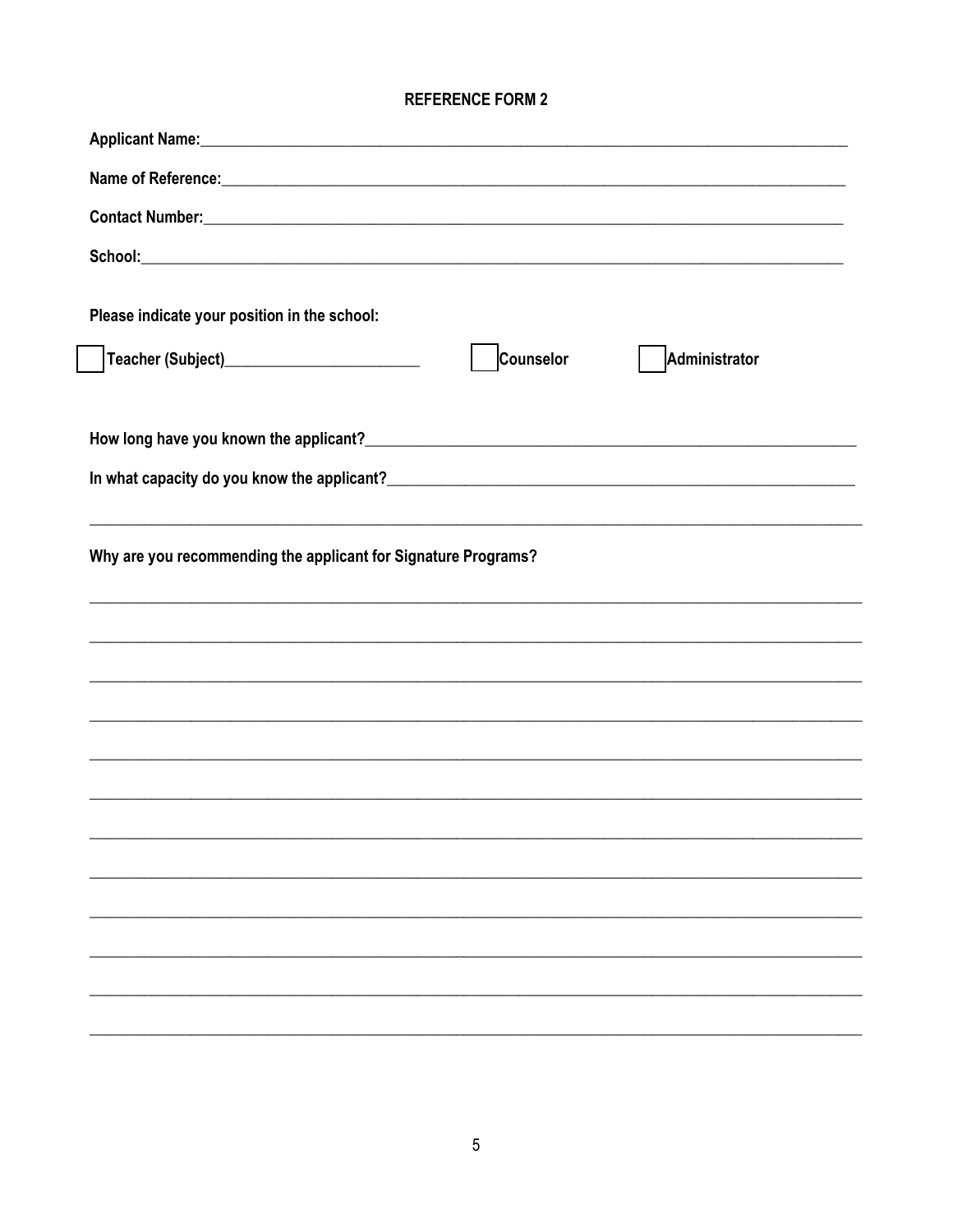# **REFERENCE FORM 2**

| Name of Reference: <u>contract and a series of the series of the series of the series of the series of the series of the series of the series of the series of the series of the series of the series of the series of the serie</u> |           |               |
|--------------------------------------------------------------------------------------------------------------------------------------------------------------------------------------------------------------------------------------|-----------|---------------|
|                                                                                                                                                                                                                                      |           |               |
|                                                                                                                                                                                                                                      |           |               |
| Please indicate your position in the school:                                                                                                                                                                                         |           |               |
|                                                                                                                                                                                                                                      |           |               |
| Teacher (Subject)____________________________                                                                                                                                                                                        | Counselor | Administrator |
|                                                                                                                                                                                                                                      |           |               |
|                                                                                                                                                                                                                                      |           |               |
|                                                                                                                                                                                                                                      |           |               |
| ,我们也不能在这里的时候,我们也不能在这里的时候,我们也不能会在这里的时候,我们也不能会在这里的时候,我们也不能会在这里的时候,我们也不能会在这里的时候,我们也不                                                                                                                                                    |           |               |
| Why are you recommending the applicant for Signature Programs?                                                                                                                                                                       |           |               |
|                                                                                                                                                                                                                                      |           |               |
|                                                                                                                                                                                                                                      |           |               |
|                                                                                                                                                                                                                                      |           |               |
|                                                                                                                                                                                                                                      |           |               |
|                                                                                                                                                                                                                                      |           |               |
|                                                                                                                                                                                                                                      |           |               |
|                                                                                                                                                                                                                                      |           |               |
|                                                                                                                                                                                                                                      |           |               |
|                                                                                                                                                                                                                                      |           |               |
|                                                                                                                                                                                                                                      |           |               |
|                                                                                                                                                                                                                                      |           |               |
|                                                                                                                                                                                                                                      |           |               |
|                                                                                                                                                                                                                                      |           |               |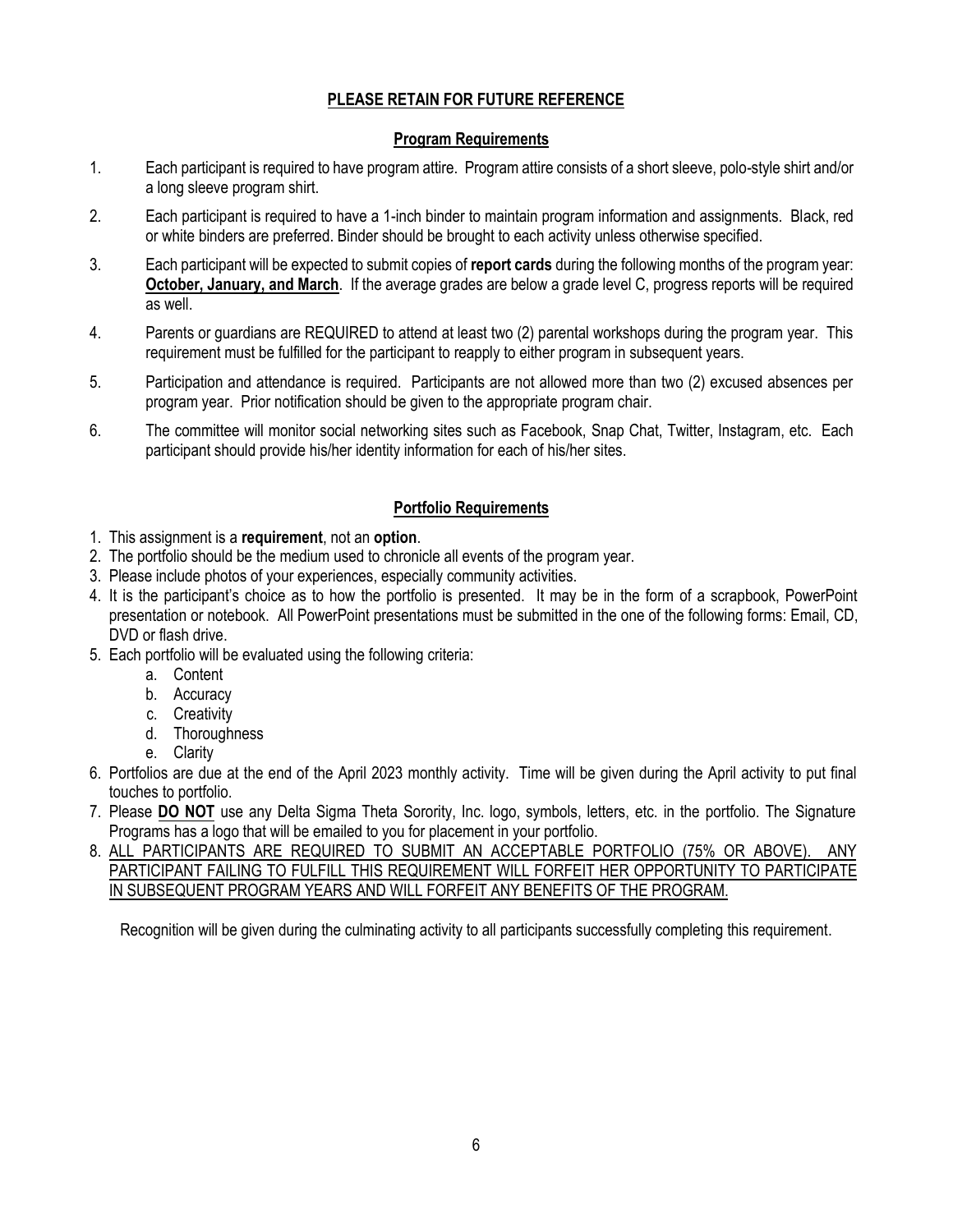### **PLEASE RETAIN FOR FUTURE REFERENCE**

#### **Program Requirements**

- 1. Each participant is required to have program attire. Program attire consists of a short sleeve, polo-style shirt and/or a long sleeve program shirt.
- 2. Each participant is required to have a 1-inch binder to maintain program information and assignments. Black, red or white binders are preferred. Binder should be brought to each activity unless otherwise specified.
- 3. Each participant will be expected to submit copies of **report cards** during the following months of the program year: **October, January, and March**. If the average grades are below a grade level C, progress reports will be required as well.
- 4. Parents or guardians are REQUIRED to attend at least two (2) parental workshops during the program year. This requirement must be fulfilled for the participant to reapply to either program in subsequent years.
- 5. Participation and attendance is required. Participants are not allowed more than two (2) excused absences per program year. Prior notification should be given to the appropriate program chair.
- 6. The committee will monitor social networking sites such as Facebook, Snap Chat, Twitter, Instagram, etc. Each participant should provide his/her identity information for each of his/her sites.

### **Portfolio Requirements**

- 1. This assignment is a **requirement**, not an **option**.
- 2. The portfolio should be the medium used to chronicle all events of the program year.
- 3. Please include photos of your experiences, especially community activities.
- 4. It is the participant's choice as to how the portfolio is presented. It may be in the form of a scrapbook, PowerPoint presentation or notebook. All PowerPoint presentations must be submitted in the one of the following forms: Email, CD, DVD or flash drive.
- 5. Each portfolio will be evaluated using the following criteria:
	- a. Content
	- b. Accuracy
	- c. Creativity
	- d. Thoroughness
	- e. Clarity
- 6. Portfolios are due at the end of the April 2023 monthly activity. Time will be given during the April activity to put final touches to portfolio.
- 7. Please **DO NOT** use any Delta Sigma Theta Sorority, Inc. logo, symbols, letters, etc. in the portfolio. The Signature Programs has a logo that will be emailed to you for placement in your portfolio.
- 8. ALL PARTICIPANTS ARE REQUIRED TO SUBMIT AN ACCEPTABLE PORTFOLIO (75% OR ABOVE). ANY PARTICIPANT FAILING TO FULFILL THIS REQUIREMENT WILL FORFEIT HER OPPORTUNITY TO PARTICIPATE IN SUBSEQUENT PROGRAM YEARS AND WILL FORFEIT ANY BENEFITS OF THE PROGRAM.

Recognition will be given during the culminating activity to all participants successfully completing this requirement.